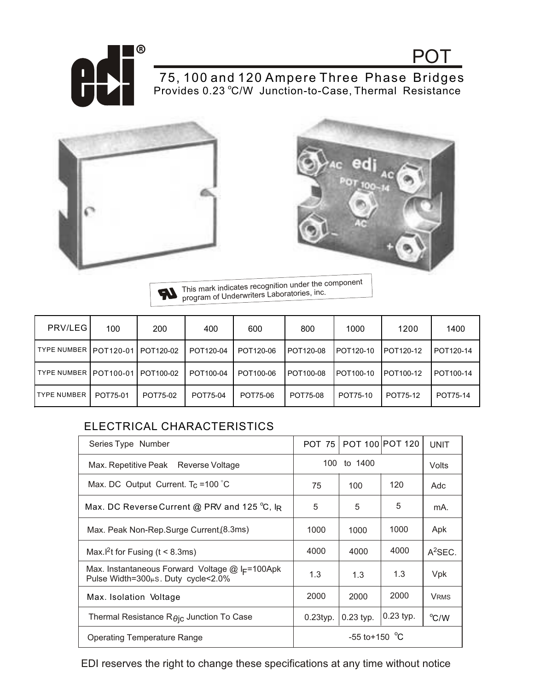

75, 100 and 120 Ampere Three Phase Bridges Provides 0.23 °C/W Junction-to-Case, Thermal Resistance





POT

This mark indicates recognition under the component U program of Underwriters Laboratories, inc.

| PRV/LEG                 | 100      | 200       | 400       | 600       | 800       | 1000      | 1200      | 1400      |
|-------------------------|----------|-----------|-----------|-----------|-----------|-----------|-----------|-----------|
| TYPE NUMBER   POT120-01 |          | POT120-02 | POT120-04 | POT120-06 | POT120-08 | POT120-10 | POT120-12 | POT120-14 |
| TYPE NUMBER   POT100-01 |          | POT100-02 | POT100-04 | POT100-06 | POT100-08 | POT100-10 | POT100-12 | POT100-14 |
| <b>TYPE NUMBER</b>      | POT75-01 | POT75-02  | POT75-04  | POT75-06  | POT75-08  | POT75-10  | POT75-12  | POT75-14  |

## ELECTRICAL CHARACTERISTICS

| Series Type Number                                                                                        | <b>POT 75  </b>            |             | POT 100 POT 120 | <b>UNIT</b> |
|-----------------------------------------------------------------------------------------------------------|----------------------------|-------------|-----------------|-------------|
| Max. Repetitive Peak Reverse Voltage                                                                      | 100.<br>to 1400            |             |                 | Volts       |
| Max. DC Output Current. $T_c = 100^{\circ}C$                                                              | 75                         | 100         | 120             | Adc         |
| Max. DC Reverse Current @ PRV and 125 °C, IR                                                              | 5                          | 5           | 5               | mA.         |
| Max. Peak Non-Rep.Surge Current, (8.3ms)                                                                  | 1000                       | 1000        | 1000            | Apk         |
| Max. <sup>2</sup> t for Fusing ( $t < 8.3$ ms)                                                            | 4000                       | 4000        | 4000            | $A^2$ SEC.  |
| Max. Instantaneous Forward Voltage $@$ I <sub>F</sub> =100Apk<br>Pulse Width=300 $\mu$ s. Duty cycle<2.0% | 1.3                        | 1.3         | 1.3             | Vpk         |
| Max. Isolation Voltage                                                                                    | 2000                       | 2000        | 2000            | <b>VRMS</b> |
| Thermal Resistance $R\theta$ ic Junction To Case                                                          | $0.23$ typ.                | $0.23$ typ. | $0.23$ typ.     | °C/W        |
| Operating Temperature Range                                                                               | $-55$ to +150 $^{\circ}$ C |             |                 |             |

EDI reserves the right to change these specifications at any time without notice